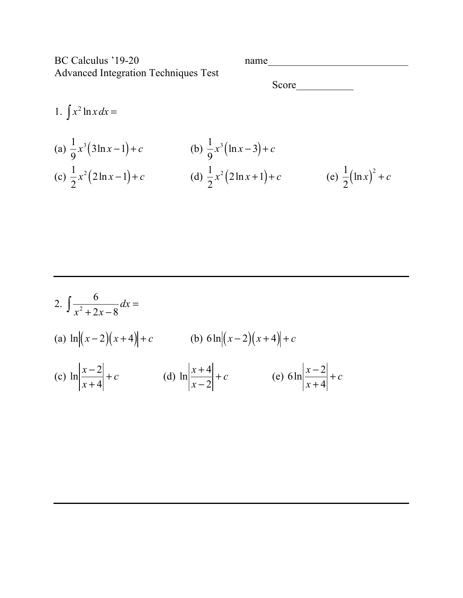BC Calculus '19-20 name Advanced Integration Techniques Test

Score
<u>
Score</u>

1.  $\int x^2 \ln x \, dx =$ (a)  $\frac{1}{2}x^3(3\ln x - 1) + c$  (b) (c)  $\frac{1}{2}x^2(2\ln x - 1) + c$  (d)  $\frac{1}{2}x^2(2\ln x + 1) + c$  (e) 1 9 *x* 3 (3ln *x* −1) + *c* 1 9 *x* 3 (ln *x* − 3) + *c* 1 2  $x^2(2 \ln x - 1) + c$ 1 2  $x^2(2 \ln x + 1) + c$ 1 2  $\left(\ln x\right)^2 + c$ 

2. 
$$
\int \frac{6}{x^2 + 2x - 8} dx =
$$
  
\n(a)  $\ln |(x-2)(x+4)| + c$  (b)  $6 \ln |(x-2)(x+4)| + c$   
\n(c)  $\ln |\frac{x-2}{x+4}| + c$  (d)  $\ln |\frac{x+4}{x-2}| + c$  (e)  $6 \ln |\frac{x-2}{x+4}| + c$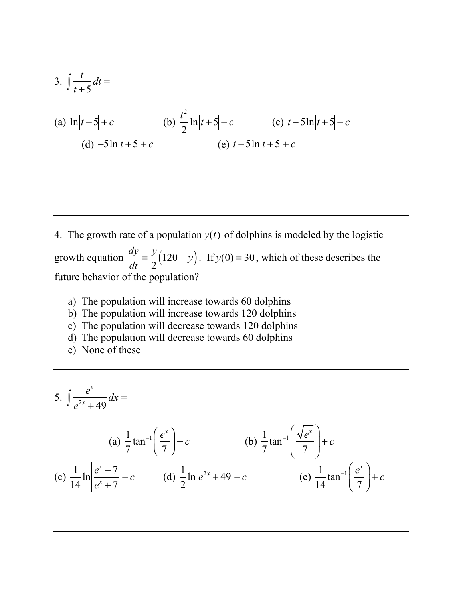3. 
$$
\int \frac{t}{t+5} dt =
$$
  
\n(a)  $\ln |t+5| + c$   
\n(b)  $\frac{t^2}{2} \ln |t+5| + c$   
\n(c)  $t-5 \ln |t+5| + c$   
\n(d)  $-5 \ln |t+5| + c$   
\n(e)  $t+5 \ln |t+5| + c$ 

4. The growth rate of a population  $y(t)$  of dolphins is modeled by the logistic growth equation  $\frac{dy}{dx} = \frac{y}{2}(120 - y)$ . If  $y(0) = 30$ , which of these describes the future behavior of the population?  $\frac{dy}{dt} = \frac{y}{2} (120 - y)$ . If  $y(0) = 30$ 

- a) The population will increase towards 60 dolphins
- b) The population will increase towards 120 dolphins
- c) The population will decrease towards 120 dolphins
- d) The population will decrease towards 60 dolphins
- e) None of these

5. 
$$
\int \frac{e^x}{e^{2x} + 49} dx =
$$
  
\n(a)  $\frac{1}{7} \tan^{-1} \left( \frac{e^x}{7} \right) + c$   
\n(b)  $\frac{1}{7} \tan^{-1} \left( \frac{\sqrt{e^x}}{7} \right) + c$   
\n(c)  $\frac{1}{14} \ln \left| \frac{e^x - 7}{e^x + 7} \right| + c$   
\n(d)  $\frac{1}{2} \ln \left| e^{2x} + 49 \right| + c$   
\n(e)  $\frac{1}{14} \tan^{-1} \left( \frac{e^x}{7} \right) + c$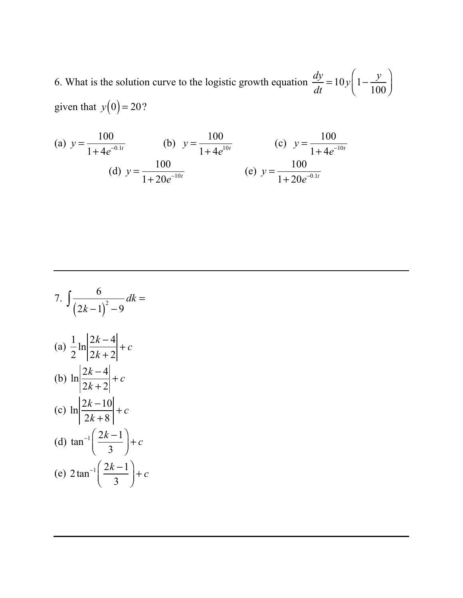6. What is the solution curve to the logistic growth equation given that  $y(0) = 20$ ?  $\frac{dy}{dt} = 10y \left(1 - \frac{y}{100}\right)$  $\sqrt{}$  $\overline{\mathcal{N}}$ ⎞  $\overline{a}$ 

(a) 
$$
y = \frac{100}{1 + 4e^{-0.1t}}
$$
 (b)  $y = \frac{100}{1 + 4e^{10t}}$  (c)  $y = \frac{100}{1 + 4e^{-10t}}$   
(d)  $y = \frac{100}{1 + 20e^{-10t}}$  (e)  $y = \frac{100}{1 + 20e^{-0.1t}}$ 

7. 
$$
\int \frac{6}{(2k-1)^2 - 9} dk =
$$
  
\n(a) 
$$
\frac{1}{2} \ln \left| \frac{2k-4}{2k+2} \right| + c
$$
  
\n(b) 
$$
\ln \left| \frac{2k-4}{2k+2} \right| + c
$$
  
\n(c) 
$$
\ln \left| \frac{2k-10}{2k+8} \right| + c
$$
  
\n(d) 
$$
\tan^{-1} \left( \frac{2k-1}{3} \right) + c
$$
  
\n(e) 
$$
2 \tan^{-1} \left( \frac{2k-1}{3} \right) + c
$$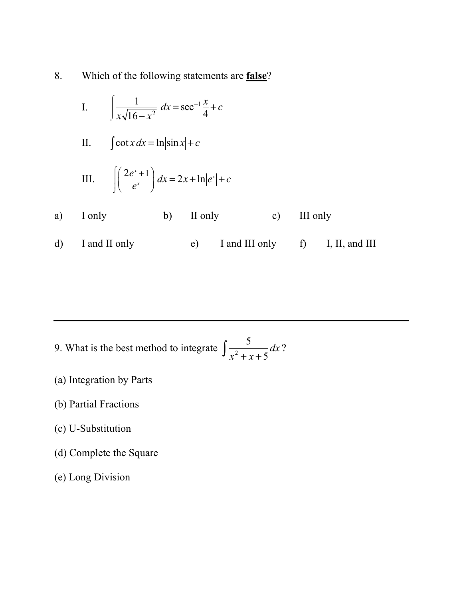8. Which of the following statements are **false**?

I. 
$$
\int \frac{1}{x\sqrt{16-x^2}} dx = \sec^{-1}\frac{x}{4} + c
$$

II. 
$$
\int \cot x \, dx = \ln|\sin x| + c
$$

III. 
$$
\int \left(\frac{2e^x + 1}{e^x}\right) dx = 2x + \ln|e^x| + c
$$

- a) I only b) II only c) III only
- d) I and II only e) I and III only f) I, II, and III

9. What is the best method to integrate  $\frac{1}{2} dx$ ? 5  $\int \frac{3}{x^2 + x + 5} dx$ 

- (a) Integration by Parts
- (b) Partial Fractions
- (c) U-Substitution
- (d) Complete the Square
- (e) Long Division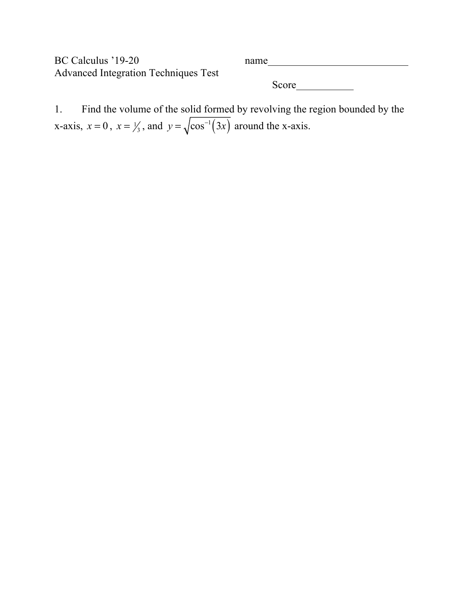BC Calculus '19-20 name Advanced Integration Techniques Test Score and second second second second second second second second second second second second second second second second second second second second second second second second second second second second second second se

1. Find the volume of the solid formed by revolving the region bounded by the x-axis,  $x = 0$ ,  $x = \frac{1}{3}$ , and  $y = \sqrt{\cos^{-1}(3x)}$  around the x-axis.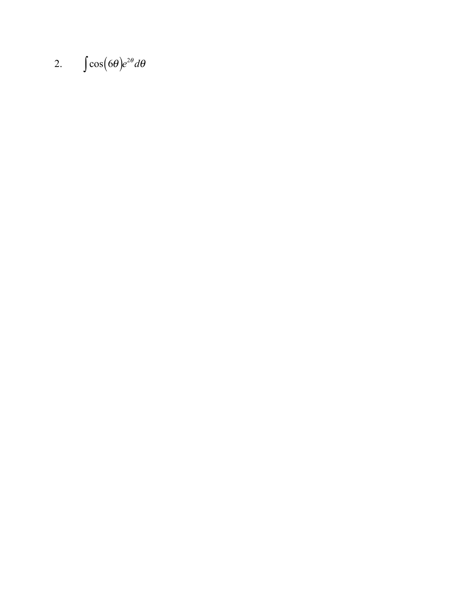## 2.  $\int \cos(6\theta) e^{2\theta} d\theta$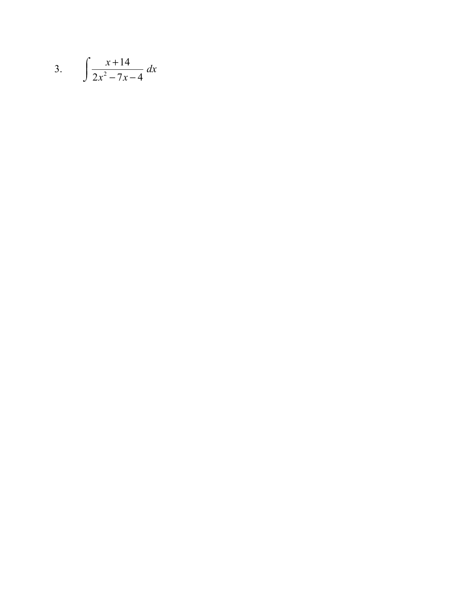$$
3. \qquad \int \frac{x+14}{2x^2-7x-4} \, dx
$$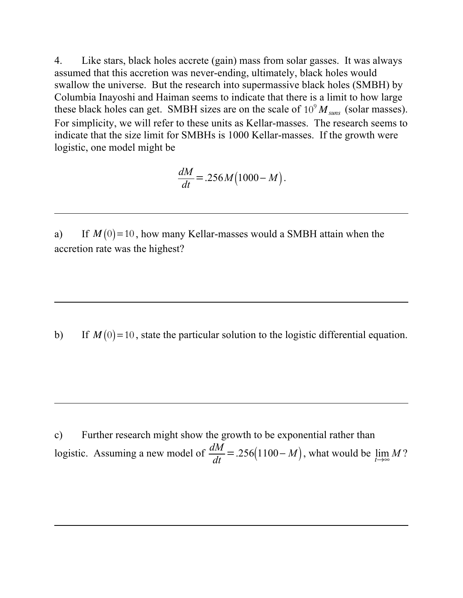4. Like stars, black holes accrete (gain) mass from solar gasses. It was always assumed that this accretion was never-ending, ultimately, black holes would swallow the universe. But the research into supermassive black holes (SMBH) by Columbia Inayoshi and Haiman seems to indicate that there is a limit to how large these black holes can get. SMBH sizes are on the scale of  $10^9 M_{suns}$  (solar masses). For simplicity, we will refer to these units as Kellar-masses. The research seems to indicate that the size limit for SMBHs is 1000 Kellar-masses. If the growth were logistic, one model might be

$$
\frac{dM}{dt} = .256 M (1000 - M).
$$

a) If  $M(0)=10$ , how many Kellar-masses would a SMBH attain when the accretion rate was the highest?

b) If  $M(0)=10$ , state the particular solution to the logistic differential equation.

c) Further research might show the growth to be exponential rather than logistic. Assuming a new model of  $\frac{dM}{dt} = .256(1100 - M)$ , what would be  $\lim_{t \to \infty} M$ ?